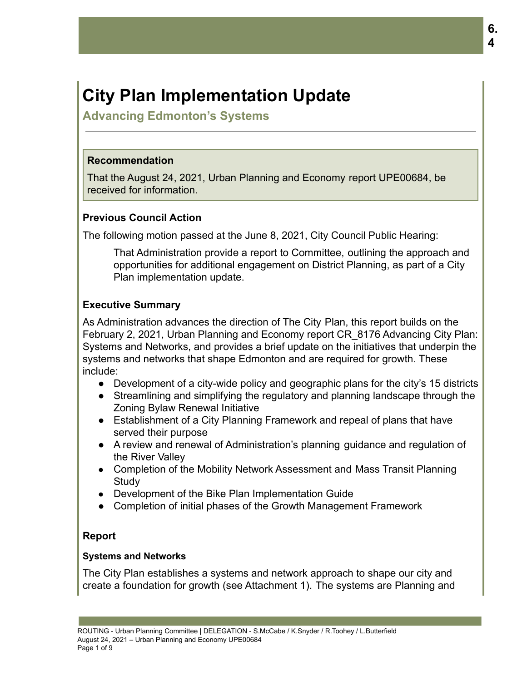# **City Plan Implementation Update**

**Advancing Edmonton's Systems**

# **Recommendation**

That the August 24, 2021, Urban Planning and Economy report UPE00684, be received for information.

# **Previous Council Action**

The following motion passed at the June 8, 2021, City Council Public Hearing:

That Administration provide a report to Committee, outlining the approach and opportunities for additional engagement on District Planning, as part of a City Plan implementation update.

# **Executive Summary**

As Administration advances the direction of The City Plan, this report builds on the February 2, 2021, Urban Planning and Economy report CR\_8176 Advancing City Plan: Systems and Networks, and provides a brief update on the initiatives that underpin the systems and networks that shape Edmonton and are required for growth. These include:

- Development of a city-wide policy and geographic plans for the city's 15 districts
- Streamlining and simplifying the regulatory and planning landscape through the Zoning Bylaw Renewal Initiative
- Establishment of a City Planning Framework and repeal of plans that have served their purpose
- A review and renewal of Administration's planning guidance and regulation of the River Valley
- Completion of the Mobility Network Assessment and Mass Transit Planning **Study**
- Development of the Bike Plan Implementation Guide
- Completion of initial phases of the Growth Management Framework

# **Report**

# **Systems and Networks**

The City Plan establishes a systems and network approach to shape our city and create a foundation for growth (see Attachment 1). The systems are Planning and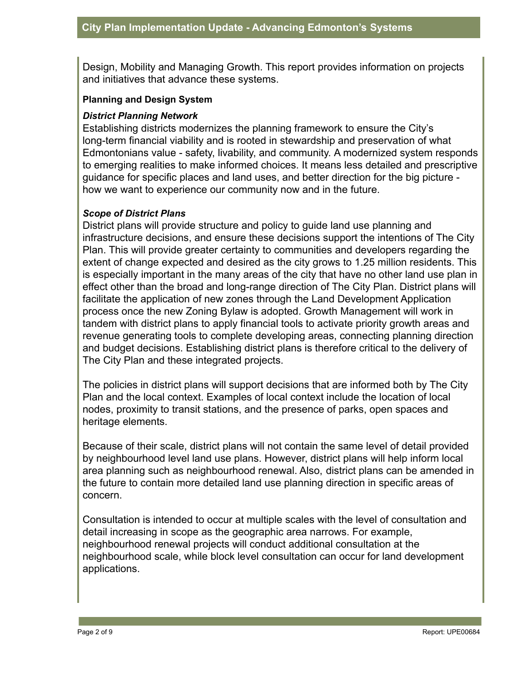Design, Mobility and Managing Growth. This report provides information on projects and initiatives that advance these systems.

#### **Planning and Design System**

#### *District Planning Network*

Establishing districts modernizes the planning framework to ensure the City's long-term financial viability and is rooted in stewardship and preservation of what Edmontonians value - safety, livability, and community. A modernized system responds to emerging realities to make informed choices. It means less detailed and prescriptive guidance for specific places and land uses, and better direction for the big picture how we want to experience our community now and in the future.

#### *Scope of District Plans*

District plans will provide structure and policy to guide land use planning and infrastructure decisions, and ensure these decisions support the intentions of The City Plan. This will provide greater certainty to communities and developers regarding the extent of change expected and desired as the city grows to 1.25 million residents. This is especially important in the many areas of the city that have no other land use plan in effect other than the broad and long-range direction of The City Plan. District plans will facilitate the application of new zones through the Land Development Application process once the new Zoning Bylaw is adopted. Growth Management will work in tandem with district plans to apply financial tools to activate priority growth areas and revenue generating tools to complete developing areas, connecting planning direction and budget decisions. Establishing district plans is therefore critical to the delivery of The City Plan and these integrated projects.

The policies in district plans will support decisions that are informed both by The City Plan and the local context. Examples of local context include the location of local nodes, proximity to transit stations, and the presence of parks, open spaces and heritage elements.

Because of their scale, district plans will not contain the same level of detail provided by neighbourhood level land use plans. However, district plans will help inform local area planning such as neighbourhood renewal. Also, district plans can be amended in the future to contain more detailed land use planning direction in specific areas of concern.

Consultation is intended to occur at multiple scales with the level of consultation and detail increasing in scope as the geographic area narrows. For example, neighbourhood renewal projects will conduct additional consultation at the neighbourhood scale, while block level consultation can occur for land development applications.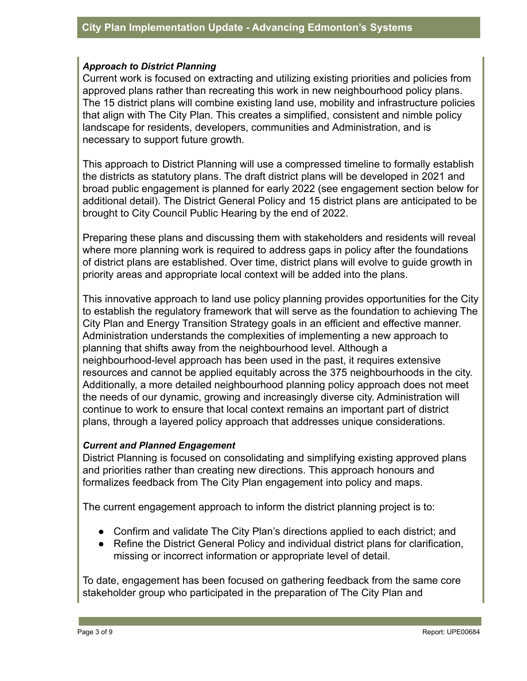#### *Approach to District Planning*

Current work is focused on extracting and utilizing existing priorities and policies from approved plans rather than recreating this work in new neighbourhood policy plans. The 15 district plans will combine existing land use, mobility and infrastructure policies that align with The City Plan. This creates a simplified, consistent and nimble policy landscape for residents, developers, communities and Administration, and is necessary to support future growth.

This approach to District Planning will use a compressed timeline to formally establish the districts as statutory plans. The draft district plans will be developed in 2021 and broad public engagement is planned for early 2022 (see engagement section below for additional detail). The District General Policy and 15 district plans are anticipated to be brought to City Council Public Hearing by the end of 2022.

Preparing these plans and discussing them with stakeholders and residents will reveal where more planning work is required to address gaps in policy after the foundations of district plans are established. Over time, district plans will evolve to guide growth in priority areas and appropriate local context will be added into the plans.

This innovative approach to land use policy planning provides opportunities for the City to establish the regulatory framework that will serve as the foundation to achieving The City Plan and Energy Transition Strategy goals in an efficient and effective manner. Administration understands the complexities of implementing a new approach to planning that shifts away from the neighbourhood level. Although a neighbourhood-level approach has been used in the past, it requires extensive resources and cannot be applied equitably across the 375 neighbourhoods in the city. Additionally, a more detailed neighbourhood planning policy approach does not meet the needs of our dynamic, growing and increasingly diverse city. Administration will continue to work to ensure that local context remains an important part of district plans, through a layered policy approach that addresses unique considerations.

#### *Current and Planned Engagement*

District Planning is focused on consolidating and simplifying existing approved plans and priorities rather than creating new directions. This approach honours and formalizes feedback from The City Plan engagement into policy and maps.

The current engagement approach to inform the district planning project is to:

- Confirm and validate The City Plan's directions applied to each district; and
- Refine the District General Policy and individual district plans for clarification, missing or incorrect information or appropriate level of detail.

To date, engagement has been focused on gathering feedback from the same core stakeholder group who participated in the preparation of The City Plan and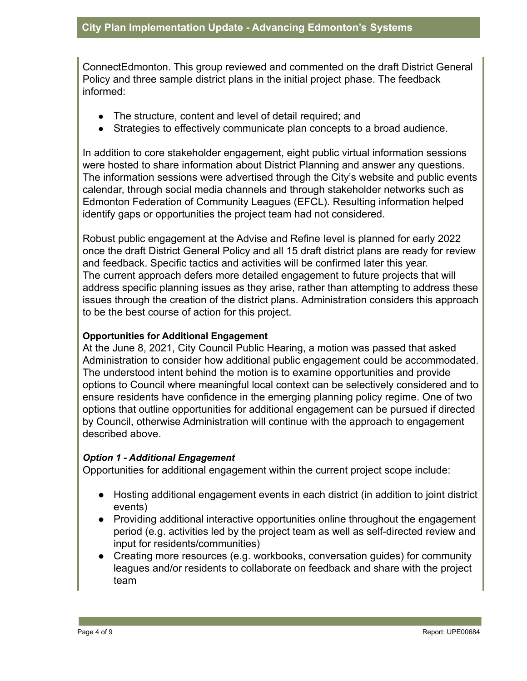ConnectEdmonton. This group reviewed and commented on the draft District General Policy and three sample district plans in the initial project phase. The feedback informed:

- The structure, content and level of detail required; and
- Strategies to effectively communicate plan concepts to a broad audience.

In addition to core stakeholder engagement, eight public virtual information sessions were hosted to share information about District Planning and answer any questions. The information sessions were advertised through the City's website and public events calendar, through social media channels and through stakeholder networks such as Edmonton Federation of Community Leagues (EFCL). Resulting information helped identify gaps or opportunities the project team had not considered.

Robust public engagement at the Advise and Refine level is planned for early 2022 once the draft District General Policy and all 15 draft district plans are ready for review and feedback. Specific tactics and activities will be confirmed later this year. The current approach defers more detailed engagement to future projects that will address specific planning issues as they arise, rather than attempting to address these issues through the creation of the district plans. Administration considers this approach to be the best course of action for this project.

## **Opportunities for Additional Engagement**

At the June 8, 2021, City Council Public Hearing, a motion was passed that asked Administration to consider how additional public engagement could be accommodated. The understood intent behind the motion is to examine opportunities and provide options to Council where meaningful local context can be selectively considered and to ensure residents have confidence in the emerging planning policy regime. One of two options that outline opportunities for additional engagement can be pursued if directed by Council, otherwise Administration will continue with the approach to engagement described above.

#### *Option 1 - Additional Engagement*

Opportunities for additional engagement within the current project scope include:

- Hosting additional engagement events in each district (in addition to joint district events)
- Providing additional interactive opportunities online throughout the engagement period (e.g. activities led by the project team as well as self-directed review and input for residents/communities)
- Creating more resources (e.g. workbooks, conversation guides) for community leagues and/or residents to collaborate on feedback and share with the project team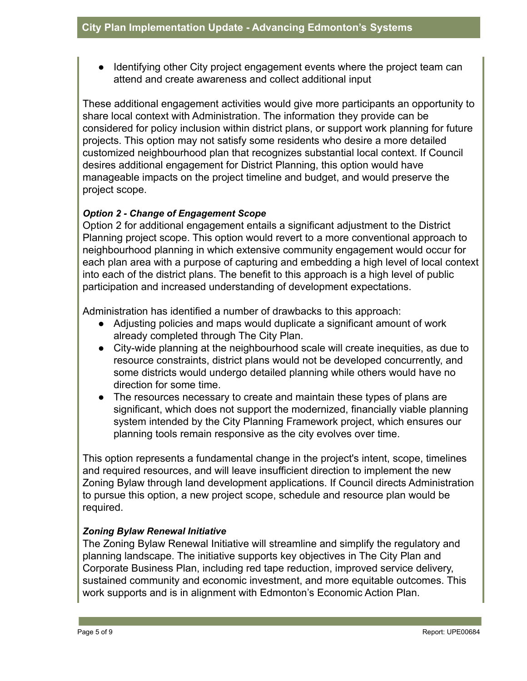● Identifying other City project engagement events where the project team can attend and create awareness and collect additional input

These additional engagement activities would give more participants an opportunity to share local context with Administration. The information they provide can be considered for policy inclusion within district plans, or support work planning for future projects. This option may not satisfy some residents who desire a more detailed customized neighbourhood plan that recognizes substantial local context. If Council desires additional engagement for District Planning, this option would have manageable impacts on the project timeline and budget, and would preserve the project scope.

## *Option 2 - Change of Engagement Scope*

Option 2 for additional engagement entails a significant adjustment to the District Planning project scope. This option would revert to a more conventional approach to neighbourhood planning in which extensive community engagement would occur for each plan area with a purpose of capturing and embedding a high level of local context into each of the district plans. The benefit to this approach is a high level of public participation and increased understanding of development expectations.

Administration has identified a number of drawbacks to this approach:

- Adjusting policies and maps would duplicate a significant amount of work already completed through The City Plan*.*
- City-wide planning at the neighbourhood scale will create inequities, as due to resource constraints, district plans would not be developed concurrently, and some districts would undergo detailed planning while others would have no direction for some time.
- The resources necessary to create and maintain these types of plans are significant, which does not support the modernized, financially viable planning system intended by the City Planning Framework project, which ensures our planning tools remain responsive as the city evolves over time.

This option represents a fundamental change in the project's intent, scope, timelines and required resources, and will leave insufficient direction to implement the new Zoning Bylaw through land development applications. If Council directs Administration to pursue this option, a new project scope, schedule and resource plan would be required.

# *Zoning Bylaw Renewal Initiative*

The Zoning Bylaw Renewal Initiative will streamline and simplify the regulatory and planning landscape. The initiative supports key objectives in The City Plan and Corporate Business Plan, including red tape reduction, improved service delivery, sustained community and economic investment, and more equitable outcomes. This work supports and is in alignment with Edmonton's Economic Action Plan.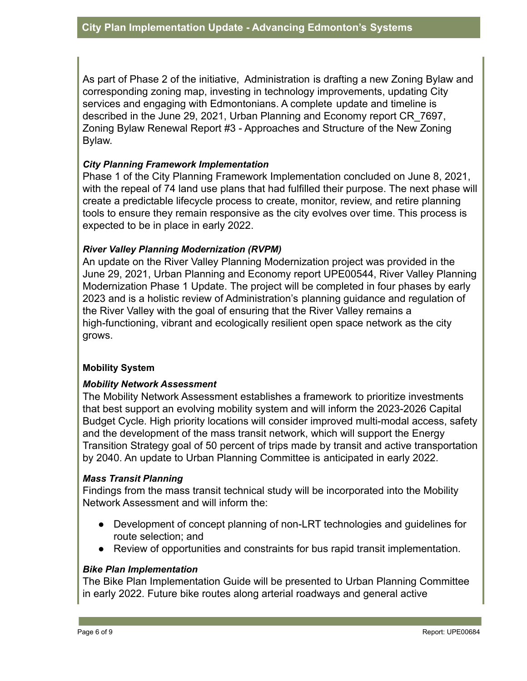As part of Phase 2 of the initiative, Administration is drafting a new Zoning Bylaw and corresponding zoning map, investing in technology improvements, updating City services and engaging with Edmontonians. A complete update and timeline is described in the June 29, 2021, Urban Planning and Economy report CR\_7697, Zoning Bylaw Renewal Report #3 - Approaches and Structure of the New Zoning Bylaw.

#### *City Planning Framework Implementation*

Phase 1 of the City Planning Framework Implementation concluded on June 8, 2021, with the repeal of 74 land use plans that had fulfilled their purpose. The next phase will create a predictable lifecycle process to create, monitor, review, and retire planning tools to ensure they remain responsive as the city evolves over time. This process is expected to be in place in early 2022.

#### *River Valley Planning Modernization (RVPM)*

An update on the River Valley Planning Modernization project was provided in the June 29, 2021, Urban Planning and Economy report UPE00544, River Valley Planning Modernization Phase 1 Update. The project will be completed in four phases by early 2023 and is a holistic review of Administration's planning guidance and regulation of the River Valley with the goal of ensuring that the River Valley remains a high-functioning, vibrant and ecologically resilient open space network as the city grows.

#### **Mobility System**

#### *Mobility Network Assessment*

The Mobility Network Assessment establishes a framework to prioritize investments that best support an evolving mobility system and will inform the 2023-2026 Capital Budget Cycle. High priority locations will consider improved multi-modal access, safety and the development of the mass transit network, which will support the Energy Transition Strategy goal of 50 percent of trips made by transit and active transportation by 2040. An update to Urban Planning Committee is anticipated in early 2022.

#### *Mass Transit Planning*

Findings from the mass transit technical study will be incorporated into the Mobility Network Assessment and will inform the:

- Development of concept planning of non-LRT technologies and guidelines for route selection; and
- Review of opportunities and constraints for bus rapid transit implementation.

## *Bike Plan Implementation*

The Bike Plan Implementation Guide will be presented to Urban Planning Committee in early 2022. Future bike routes along arterial roadways and general active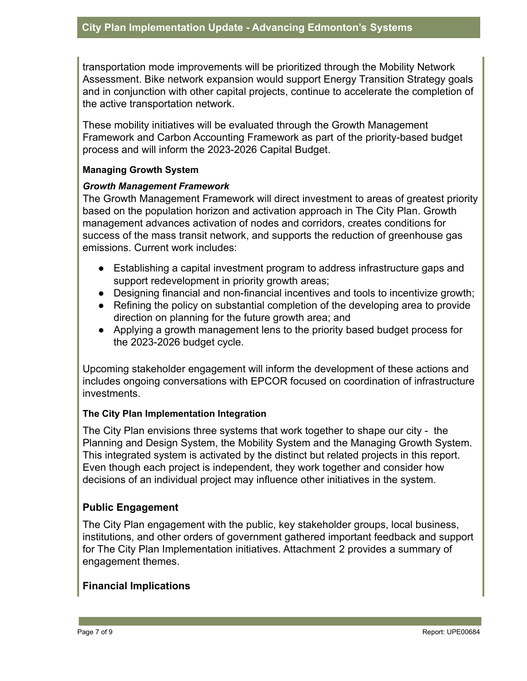transportation mode improvements will be prioritized through the Mobility Network Assessment. Bike network expansion would support Energy Transition Strategy goals and in conjunction with other capital projects, continue to accelerate the completion of the active transportation network.

These mobility initiatives will be evaluated through the Growth Management Framework and Carbon Accounting Framework as part of the priority-based budget process and will inform the 2023-2026 Capital Budget.

#### **Managing Growth System**

#### *Growth Management Framework*

The Growth Management Framework will direct investment to areas of greatest priority based on the population horizon and activation approach in The City Plan. Growth management advances activation of nodes and corridors, creates conditions for success of the mass transit network, and supports the reduction of greenhouse gas emissions. Current work includes:

- Establishing a capital investment program to address infrastructure gaps and support redevelopment in priority growth areas;
- Designing financial and non-financial incentives and tools to incentivize growth;
- Refining the policy on substantial completion of the developing area to provide direction on planning for the future growth area; and
- Applying a growth management lens to the priority based budget process for the 2023-2026 budget cycle.

Upcoming stakeholder engagement will inform the development of these actions and includes ongoing conversations with EPCOR focused on coordination of infrastructure investments.

#### **The City Plan Implementation Integration**

The City Plan envisions three systems that work together to shape our city - the Planning and Design System, the Mobility System and the Managing Growth System. This integrated system is activated by the distinct but related projects in this report. Even though each project is independent, they work together and consider how decisions of an individual project may influence other initiatives in the system.

# **Public Engagement**

The City Plan engagement with the public, key stakeholder groups, local business, institutions, and other orders of government gathered important feedback and support for The City Plan Implementation initiatives. Attachment 2 provides a summary of engagement themes.

#### **Financial Implications**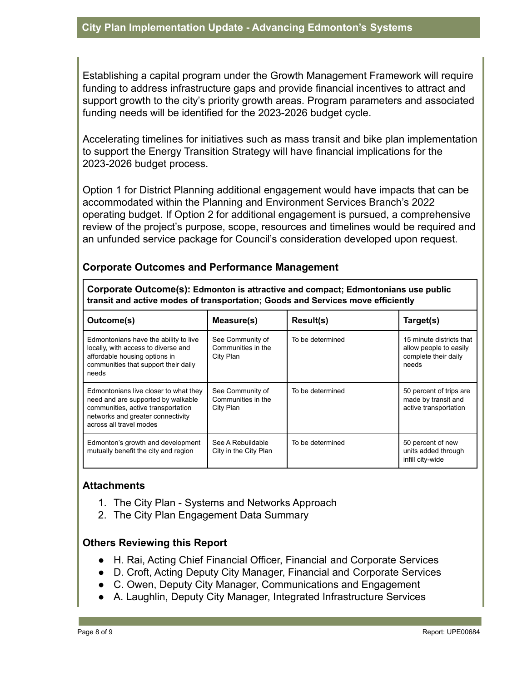Establishing a capital program under the Growth Management Framework will require funding to address infrastructure gaps and provide financial incentives to attract and support growth to the city's priority growth areas. Program parameters and associated funding needs will be identified for the 2023-2026 budget cycle.

Accelerating timelines for initiatives such as mass transit and bike plan implementation to support the Energy Transition Strategy will have financial implications for the 2023-2026 budget process.

Option 1 for District Planning additional engagement would have impacts that can be accommodated within the Planning and Environment Services Branch's 2022 operating budget. If Option 2 for additional engagement is pursued, a comprehensive review of the project's purpose, scope, resources and timelines would be required and an unfunded service package for Council's consideration developed upon request.

## **Corporate Outcomes and Performance Management**

**Corporate Outcome(s): Edmonton is attractive and compact; Edmontonians use public transit and active modes of transportation; Goods and Services move efficiently**

| Outcome(s)                                                                                                                                                                        | Measure(s)                                          | Result(s)        | Target(s)                                                                           |
|-----------------------------------------------------------------------------------------------------------------------------------------------------------------------------------|-----------------------------------------------------|------------------|-------------------------------------------------------------------------------------|
| Edmontonians have the ability to live<br>locally, with access to diverse and<br>affordable housing options in<br>communities that support their daily<br>needs                    | See Community of<br>Communities in the<br>City Plan | To be determined | 15 minute districts that<br>allow people to easily<br>complete their daily<br>needs |
| Edmontonians live closer to what they<br>need and are supported by walkable<br>communities, active transportation<br>networks and greater connectivity<br>across all travel modes | See Community of<br>Communities in the<br>City Plan | To be determined | 50 percent of trips are<br>made by transit and<br>active transportation             |
| Edmonton's growth and development<br>mutually benefit the city and region                                                                                                         | See A Rebuildable<br>City in the City Plan          | To be determined | 50 percent of new<br>units added through<br>infill city-wide                        |

#### **Attachments**

- 1. The City Plan Systems and Networks Approach
- 2. The City Plan Engagement Data Summary

# **Others Reviewing this Report**

- H. Rai, Acting Chief Financial Officer, Financial and Corporate Services
- D. Croft, Acting Deputy City Manager, Financial and Corporate Services
- C. Owen, Deputy City Manager, Communications and Engagement
- A. Laughlin, Deputy City Manager, Integrated Infrastructure Services